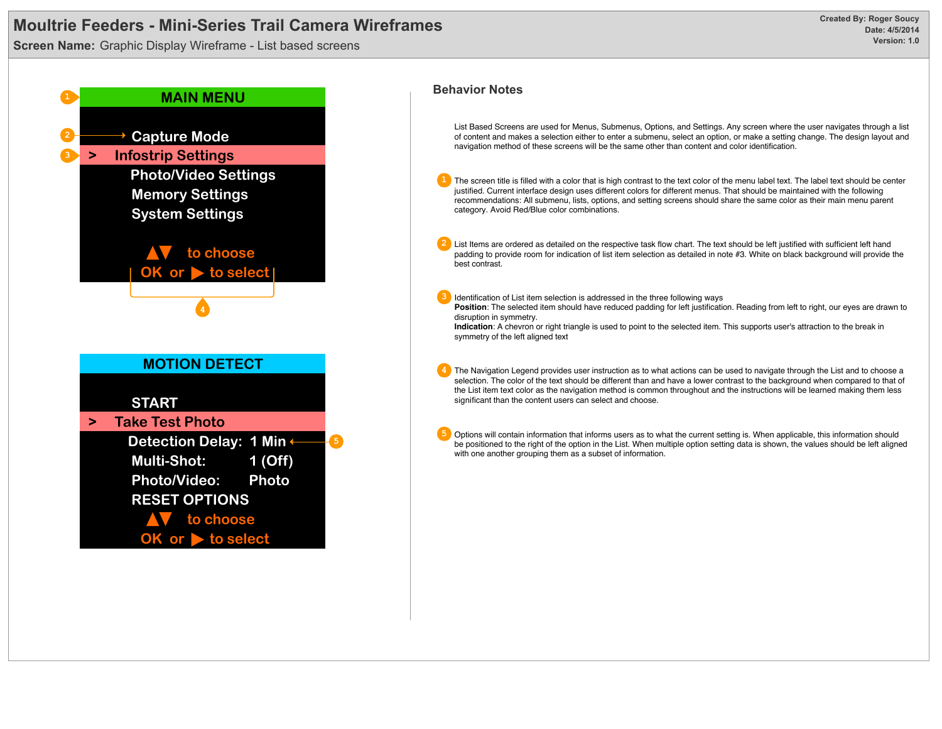**Screen Name:** Graphic Display Wireframe - List based screens



List Based Screens are used for Menus, Submenus, Options, and Settings. Any screen where the user navigates through a list of content and makes a selection either to enter a submenu, select an option, or make a setting change. The design layout and navigation method of these screens will be the same other than content and color identification.

**1** The screen title is filled with a color that is high contrast to the text color of the menu label text. The label text should be center justified. Current interface design uses different colors for different menus. That should be maintained with the following recommendations: All submenu, lists, options, and setting screens should share the same color as their main menu parent category. Avoid Red/Blue color combinations.

**2** List Items are ordered as detailed on the respective task flow chart. The text should be left justified with sufficient left hand padding to provide room for indication of list item selection as detailed in note #3. White on black background will provide the best contrast.

**3** Identification of List item selection is addressed in the three following ways Position: The selected item should have reduced padding for left justification. Reading from left to right, our eyes are drawn to disruption in symmetry.

**Indication**: A chevron or right triangle is used to point to the selected item. This supports user's attraction to the break in symmetry of the left aligned text

**4** The Navigation Legend provides user instruction as to what actions can be used to navigate through the List and to choose a selection. The color of the text should be different than and have a lower contrast to the background when compared to that of the List item text color as the navigation method is common throughout and the instructions will be learned making them less significant than the content users can select and choose.

**5** Options will contain information that informs users as to what the current setting is. When applicable, this information should be positioned to the right of the option in the List. When multiple option setting data is shown, the values should be left aligned with one another grouping them as a subset of information.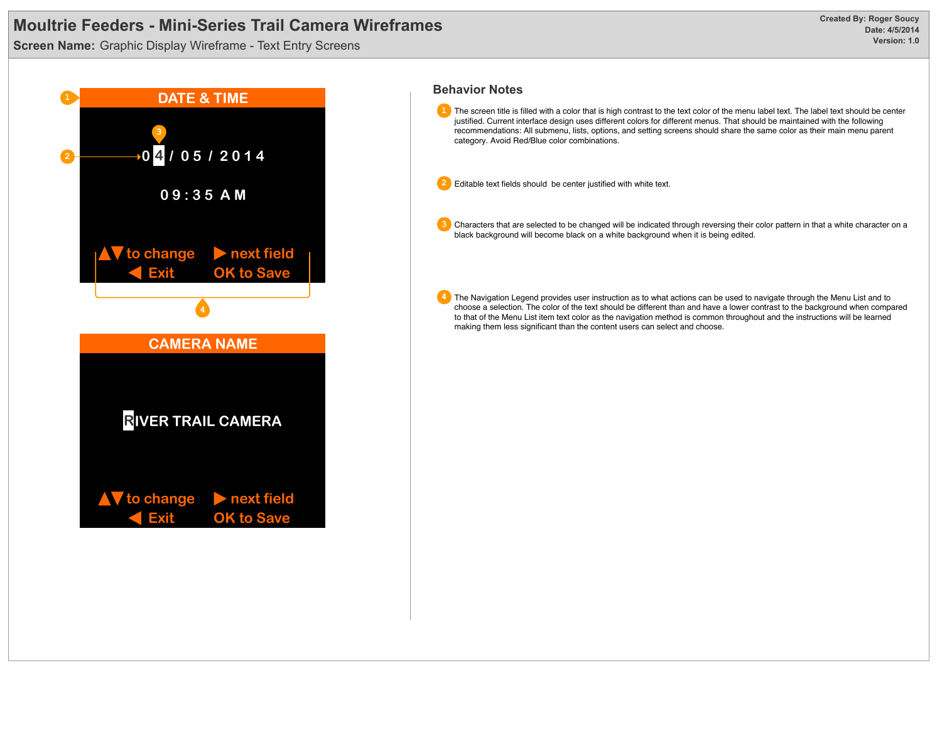**Screen Name:** Graphic Display Wireframe - Text Entry Screens



**1** The screen title is filled with a color that is high contrast to the text color of the menu label text. The label text should be center justified. Current interface design uses different colors for different menus. That should be maintained with the following recommendations: All submenu, lists, options, and setting screens should share the same color as their main menu parent category. Avoid Red/Blue color combinations.

**2** Editable text fields should be center justified with white text.

**3** Characters that are selected to be changed will be indicated through reversing their color pattern in that a white character on a black background will become black on a white background when it is being edited.

**4** The Navigation Legend provides user instruction as to what actions can be used to navigate through the Menu List and to choose a selection. The color of the text should be different than and have a lower contrast to the background when compared to that of the Menu List item text color as the navigation method is common throughout and the instructions will be learned making them less significant than the content users can select and choose.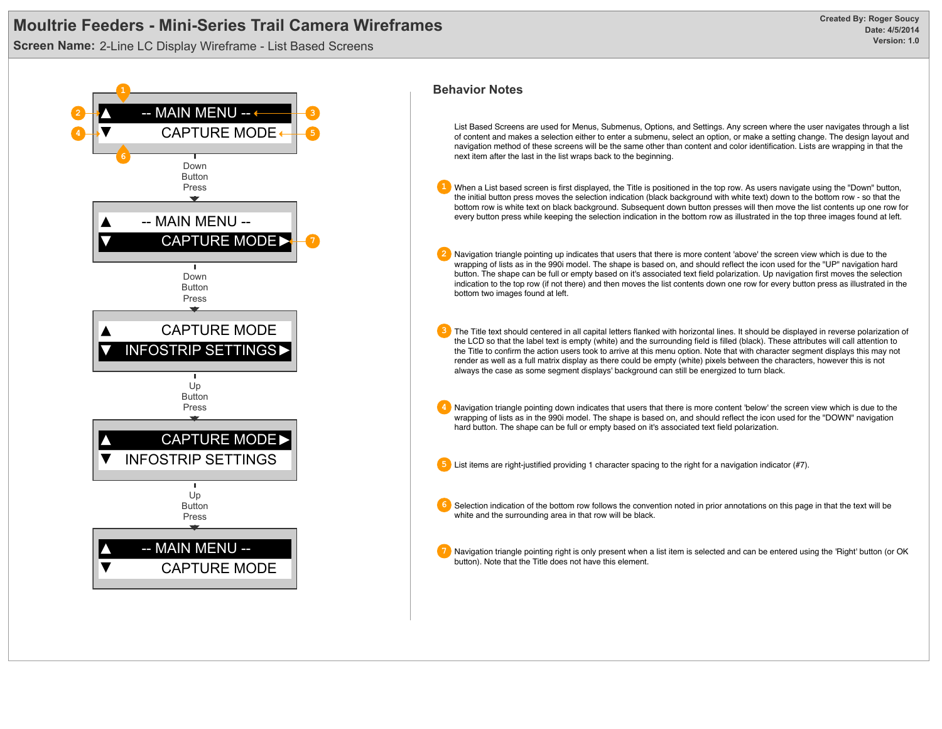**Screen Name:** 2-Line LC Display Wireframe - List Based Screens



### **Behavior Notes**

List Based Screens are used for Menus, Submenus, Options, and Settings. Any screen where the user navigates through a list of content and makes a selection either to enter a submenu, select an option, or make a setting change. The design layout and navigation method of these screens will be the same other than content and color identification. Lists are wrapping in that the next item after the last in the list wraps back to the beginning.

- **1** When a List based screen is first displayed, the Title is positioned in the top row. As users navigate using the "Down" button, the initial button press moves the selection indication (black background with white text) down to the bottom row - so that the bottom row is white text on black background. Subsequent down button presses will then move the list contents up one row for every button press while keeping the selection indication in the bottom row as illustrated in the top three images found at left.
	- **2** Navigation triangle pointing up indicates that users that there is more content 'above' the screen view which is due to the wrapping of lists as in the 990i model. The shape is based on, and should reflect the icon used for the "UP" navigation hard button. The shape can be full or empty based on it's associated text field polarization. Up navigation first moves the selection indication to the top row (if not there) and then moves the list contents down one row for every button press as illustrated in the bottom two images found at left.
	- **3** The Title text should centered in all capital letters flanked with horizontal lines. It should be displayed in reverse polarization of the LCD so that the label text is empty (white) and the surrounding field is filled (black). These attributes will call attention to the Title to confirm the action users took to arrive at this menu option. Note that with character segment displays this may not render as well as a full matrix display as there could be empty (white) pixels between the characters, however this is not always the case as some segment displays' background can still be energized to turn black.
	- **4** Navigation triangle pointing down indicates that users that there is more content 'below' the screen view which is due to the wrapping of lists as in the 990i model. The shape is based on, and should reflect the icon used for the "DOWN" navigation hard button. The shape can be full or empty based on it's associated text field polarization.
	- **5** List items are right-justified providing 1 character spacing to the right for a navigation indicator (#7).
	- **6** Selection indication of the bottom row follows the convention noted in prior annotations on this page in that the text will be white and the surrounding area in that row will be black.
	- **7** Navigation triangle pointing right is only present when a list item is selected and can be entered using the 'Right' button (or OK button). Note that the Title does not have this element.